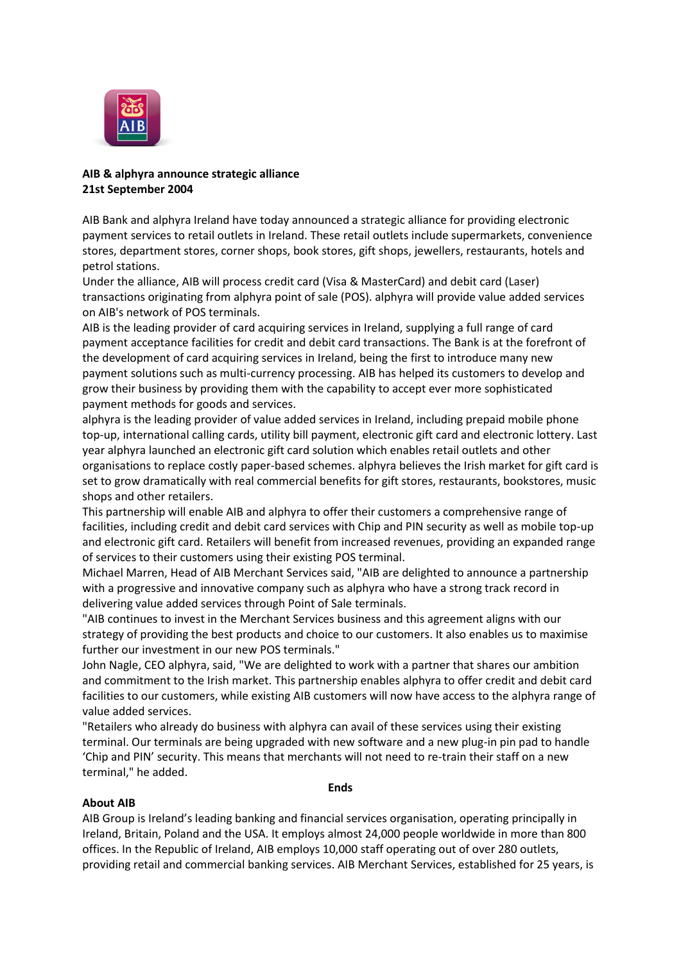

# **AIB & alphyra announce strategic alliance 21st September 2004**

AIB Bank and alphyra Ireland have today announced a strategic alliance for providing electronic payment services to retail outlets in Ireland. These retail outlets include supermarkets, convenience stores, department stores, corner shops, book stores, gift shops, jewellers, restaurants, hotels and petrol stations.

Under the alliance, AIB will process credit card (Visa & MasterCard) and debit card (Laser) transactions originating from alphyra point of sale (POS). alphyra will provide value added services on AIB's network of POS terminals.

AIB is the leading provider of card acquiring services in Ireland, supplying a full range of card payment acceptance facilities for credit and debit card transactions. The Bank is at the forefront of the development of card acquiring services in Ireland, being the first to introduce many new payment solutions such as multi-currency processing. AIB has helped its customers to develop and grow their business by providing them with the capability to accept ever more sophisticated payment methods for goods and services.

alphyra is the leading provider of value added services in Ireland, including prepaid mobile phone top-up, international calling cards, utility bill payment, electronic gift card and electronic lottery. Last year alphyra launched an electronic gift card solution which enables retail outlets and other organisations to replace costly paper-based schemes. alphyra believes the Irish market for gift card is set to grow dramatically with real commercial benefits for gift stores, restaurants, bookstores, music shops and other retailers.

This partnership will enable AIB and alphyra to offer their customers a comprehensive range of facilities, including credit and debit card services with Chip and PIN security as well as mobile top-up and electronic gift card. Retailers will benefit from increased revenues, providing an expanded range of services to their customers using their existing POS terminal.

Michael Marren, Head of AIB Merchant Services said, "AIB are delighted to announce a partnership with a progressive and innovative company such as alphyra who have a strong track record in delivering value added services through Point of Sale terminals.

"AIB continues to invest in the Merchant Services business and this agreement aligns with our strategy of providing the best products and choice to our customers. It also enables us to maximise further our investment in our new POS terminals."

John Nagle, CEO alphyra, said, "We are delighted to work with a partner that shares our ambition and commitment to the Irish market. This partnership enables alphyra to offer credit and debit card facilities to our customers, while existing AIB customers will now have access to the alphyra range of value added services.

"Retailers who already do business with alphyra can avail of these services using their existing terminal. Our terminals are being upgraded with new software and a new plug-in pin pad to handle 'Chip and PIN' security. This means that merchants will not need to re-train their staff on a new terminal," he added.

**Ends**

## **About AIB**

AIB Group is Ireland's leading banking and financial services organisation, operating principally in Ireland, Britain, Poland and the USA. It employs almost 24,000 people worldwide in more than 800 offices. In the Republic of Ireland, AIB employs 10,000 staff operating out of over 280 outlets, providing retail and commercial banking services. AIB Merchant Services, established for 25 years, is